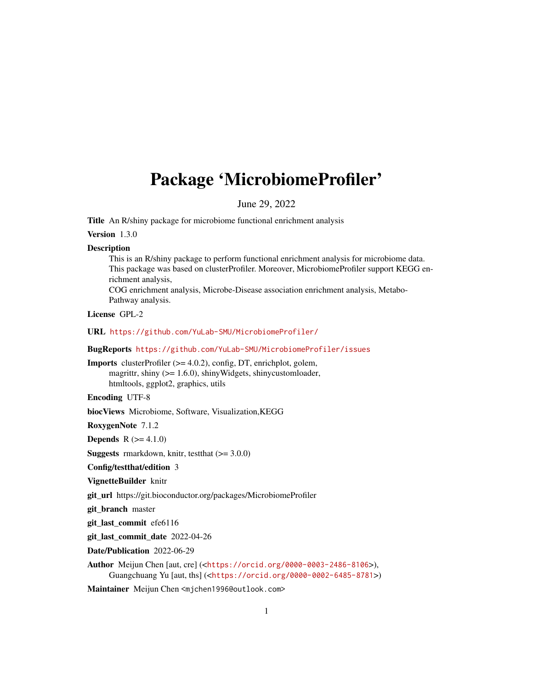## <span id="page-0-0"></span>Package 'MicrobiomeProfiler'

June 29, 2022

Title An R/shiny package for microbiome functional enrichment analysis

Version 1.3.0

#### **Description**

This is an R/shiny package to perform functional enrichment analysis for microbiome data. This package was based on clusterProfiler. Moreover, MicrobiomeProfiler support KEGG enrichment analysis,

COG enrichment analysis, Microbe-Disease association enrichment analysis, Metabo-Pathway analysis.

License GPL-2

URL <https://github.com/YuLab-SMU/MicrobiomeProfiler/>

BugReports <https://github.com/YuLab-SMU/MicrobiomeProfiler/issues>

Imports clusterProfiler (>= 4.0.2), config, DT, enrichplot, golem, magrittr, shiny (>= 1.6.0), shinyWidgets, shinycustomloader, htmltools, ggplot2, graphics, utils

Encoding UTF-8

biocViews Microbiome, Software, Visualization,KEGG

RoxygenNote 7.1.2

**Depends**  $R (= 4.1.0)$ 

**Suggests** rmarkdown, knitr, test that  $(>= 3.0.0)$ 

Config/testthat/edition 3

VignetteBuilder knitr

git\_url https://git.bioconductor.org/packages/MicrobiomeProfiler

git branch master

git last commit efe6116

git last commit date 2022-04-26

Date/Publication 2022-06-29

Author Meijun Chen [aut, cre] (<<https://orcid.org/0000-0003-2486-8106>>), Guangchuang Yu [aut, ths] (<<https://orcid.org/0000-0002-6485-8781>>)

Maintainer Meijun Chen <mjchen1996@outlook.com>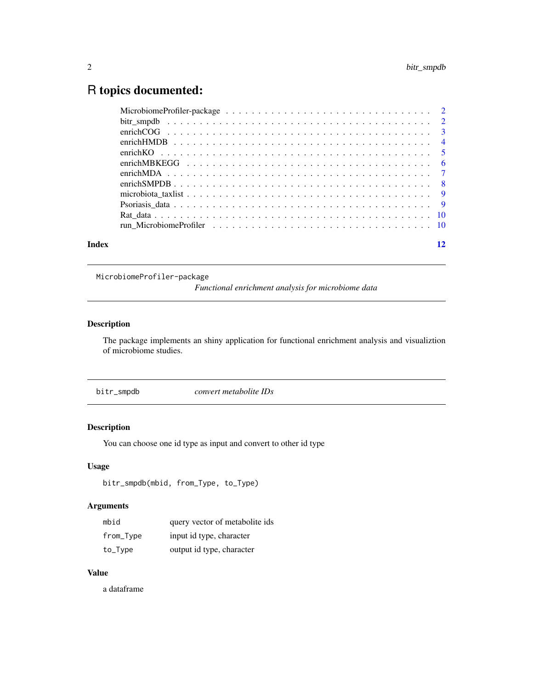### <span id="page-1-0"></span>R topics documented:

| Index | 12 |
|-------|----|

MicrobiomeProfiler-package

*Functional enrichment analysis for microbiome data*

#### Description

The package implements an shiny application for functional enrichment analysis and visualiztion of microbiome studies.

bitr\_smpdb *convert metabolite IDs*

#### Description

You can choose one id type as input and convert to other id type

#### Usage

```
bitr_smpdb(mbid, from_Type, to_Type)
```
#### Arguments

| mbid      | query vector of metabolite ids |
|-----------|--------------------------------|
| from_Type | input id type, character       |
| to_Type   | output id type, character      |

#### Value

a dataframe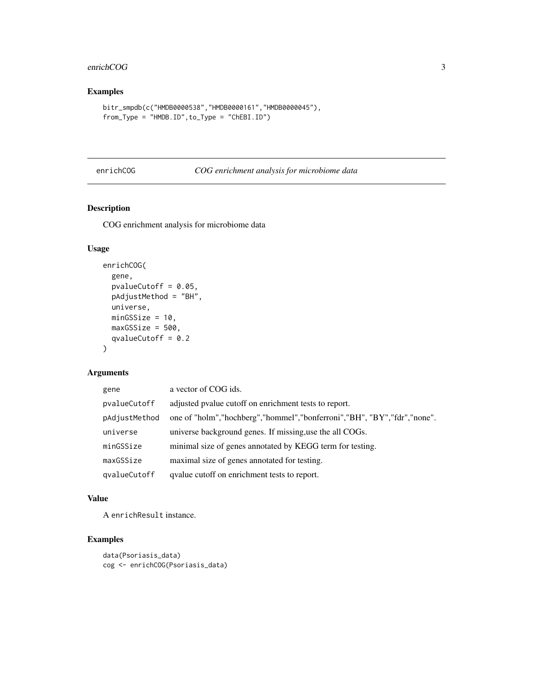#### <span id="page-2-0"></span>enrichCOG 3

#### Examples

```
bitr_smpdb(c("HMDB0000538","HMDB0000161","HMDB0000045"),
from_Type = "HMDB.ID",to_Type = "ChEBI.ID")
```
#### enrichCOG *COG enrichment analysis for microbiome data*

#### Description

COG enrichment analysis for microbiome data

#### Usage

```
enrichCOG(
  gene,
 pvalueCutoff = 0.05,
 pAdjustMethod = "BH",
 universe,
 minGSSize = 10,
 maxGSSize = 500,
 qvalueCutoff = 0.2
)
```
#### Arguments

| gene          | a vector of COG ids.                                                          |
|---------------|-------------------------------------------------------------------------------|
| pvalueCutoff  | adjusted pvalue cutoff on enrichment tests to report.                         |
| pAdjustMethod | one of "holm", "hochberg", "hommel", "bonferroni", "BH", "BY", "fdr", "none". |
| universe      | universe background genes. If missing, use the all COGs.                      |
| minGSSize     | minimal size of genes annotated by KEGG term for testing.                     |
| maxGSSize     | maximal size of genes annotated for testing.                                  |
| qvalueCutoff  | qualue cutoff on enrichment tests to report.                                  |

#### Value

A enrichResult instance.

```
data(Psoriasis_data)
cog <- enrichCOG(Psoriasis_data)
```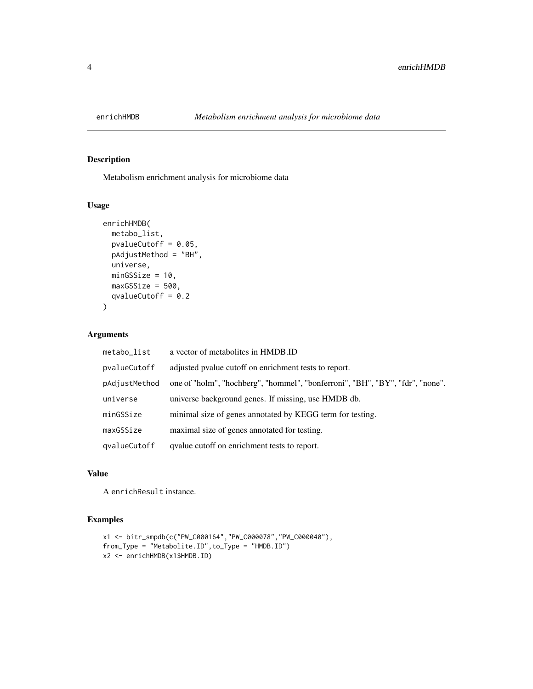<span id="page-3-0"></span>

Metabolism enrichment analysis for microbiome data

#### Usage

```
enrichHMDB(
  metabo_list,
 pvalueCutoff = 0.05,
 pAdjustMethod = "BH",
 universe,
 minGSSize = 10,
 maxGSSize = 500,
  qvalueCutoff = 0.2\mathcal{L}
```
#### Arguments

| metabo_list   | a vector of metabolites in HMDB.ID                                            |
|---------------|-------------------------------------------------------------------------------|
| pvalueCutoff  | adjusted pvalue cutoff on enrichment tests to report.                         |
| pAdjustMethod | one of "holm", "hochberg", "hommel", "bonferroni", "BH", "BY", "fdr", "none". |
| universe      | universe background genes. If missing, use HMDB db.                           |
| minGSSize     | minimal size of genes annotated by KEGG term for testing.                     |
| maxGSSize     | maximal size of genes annotated for testing.                                  |
| qvalueCutoff  | qualue cutoff on enrichment tests to report.                                  |

#### Value

A enrichResult instance.

```
x1 <- bitr_smpdb(c("PW_C000164","PW_C000078","PW_C000040"),
from_Type = "Metabolite.ID",to_Type = "HMDB.ID")
x2 <- enrichHMDB(x1$HMDB.ID)
```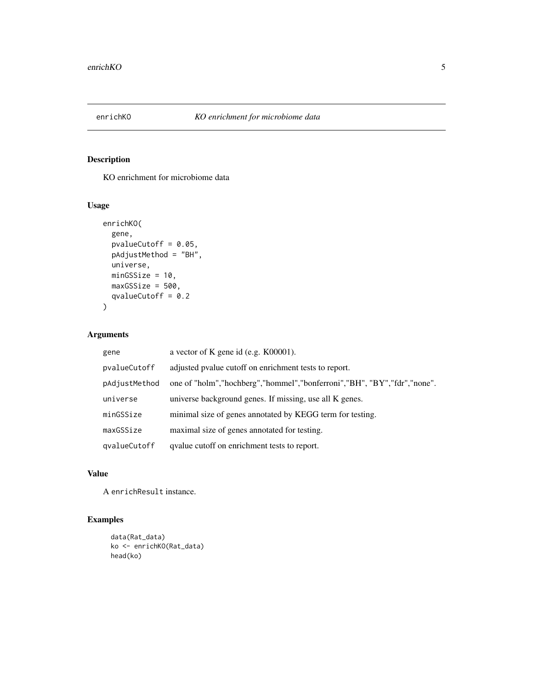<span id="page-4-0"></span>

KO enrichment for microbiome data

#### Usage

```
enrichKO(
  gene,
 pvalueCutoff = 0.05,
 pAdjustMethod = "BH",
 universe,
 minGSSize = 10,
 maxGSSize = 500,
  qvalueCutoff = 0.2\mathcal{L}
```
#### Arguments

| gene          | a vector of K gene id (e.g. K00001).                                          |
|---------------|-------------------------------------------------------------------------------|
| pvalueCutoff  | adjusted pyalue cutoff on enrichment tests to report.                         |
| pAdjustMethod | one of "holm", "hochberg", "hommel", "bonferroni", "BH", "BY", "fdr", "none". |
| universe      | universe background genes. If missing, use all K genes.                       |
| minGSSize     | minimal size of genes annotated by KEGG term for testing.                     |
| maxGSSize     | maximal size of genes annotated for testing.                                  |
| qvalueCutoff  | qualue cutoff on enrichment tests to report.                                  |

#### Value

A enrichResult instance.

```
data(Rat_data)
ko <- enrichKO(Rat_data)
head(ko)
```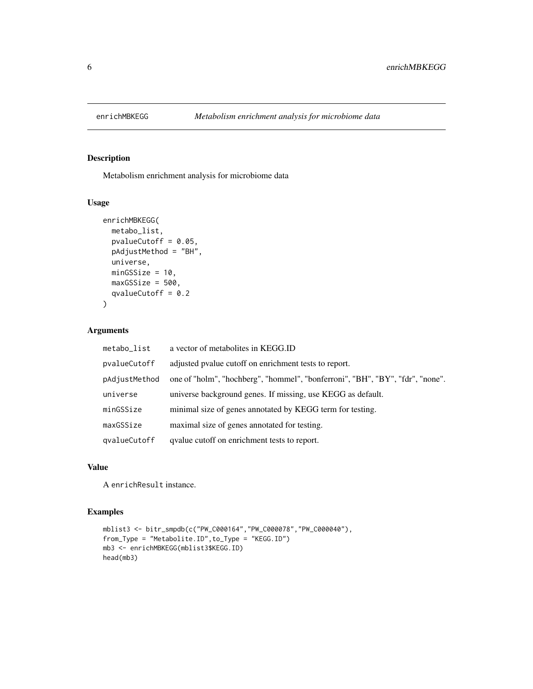<span id="page-5-0"></span>

Metabolism enrichment analysis for microbiome data

#### Usage

```
enrichMBKEGG(
 metabo_list,
 pvalueCutoff = 0.05,
 pAdjustMethod = "BH",
 universe,
 minGSSize = 10,
 maxGSsize = 500,
  qvalueCutoff = 0.2
)
```
#### Arguments

| metabo_list   | a vector of metabolites in KEGG.ID                                            |
|---------------|-------------------------------------------------------------------------------|
| pvalueCutoff  | adjusted pvalue cutoff on enrichment tests to report.                         |
| pAdjustMethod | one of "holm", "hochberg", "hommel", "bonferroni", "BH", "BY", "fdr", "none". |
| universe      | universe background genes. If missing, use KEGG as default.                   |
| minGSSize     | minimal size of genes annotated by KEGG term for testing.                     |
| maxGSSize     | maximal size of genes annotated for testing.                                  |
| qvalueCutoff  | qvalue cutoff on enrichment tests to report.                                  |

#### Value

A enrichResult instance.

```
mblist3 <- bitr_smpdb(c("PW_C000164","PW_C000078","PW_C000040"),
from_Type = "Metabolite.ID",to_Type = "KEGG.ID")
mb3 <- enrichMBKEGG(mblist3$KEGG.ID)
head(mb3)
```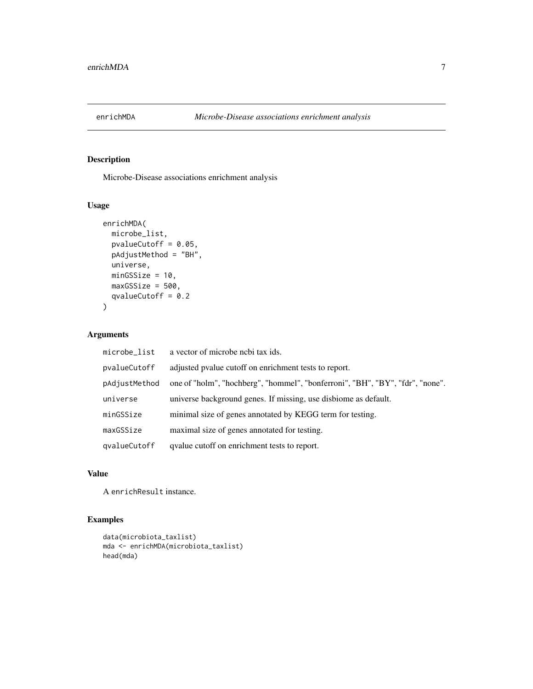<span id="page-6-0"></span>

Microbe-Disease associations enrichment analysis

#### Usage

```
enrichMDA(
  microbe_list,
  pvalueCutoff = 0.05,
  pAdjustMethod = "BH",
  universe,
  minGSSize = 10,
  maxGSSize = 500,
  qvalueCutoff = 0.2\overline{\phantom{a}}
```
#### Arguments

| microbe_list  | a vector of microbe nebi tax ids.                                             |
|---------------|-------------------------------------------------------------------------------|
| pvalueCutoff  | adjusted pvalue cutoff on enrichment tests to report.                         |
| pAdjustMethod | one of "holm", "hochberg", "hommel", "bonferroni", "BH", "BY", "fdr", "none". |
| universe      | universe background genes. If missing, use disbiome as default.               |
| minGSSize     | minimal size of genes annotated by KEGG term for testing.                     |
| maxGSSize     | maximal size of genes annotated for testing.                                  |
| qvalueCutoff  | qualue cutoff on enrichment tests to report.                                  |

#### Value

A enrichResult instance.

```
data(microbiota_taxlist)
mda <- enrichMDA(microbiota_taxlist)
head(mda)
```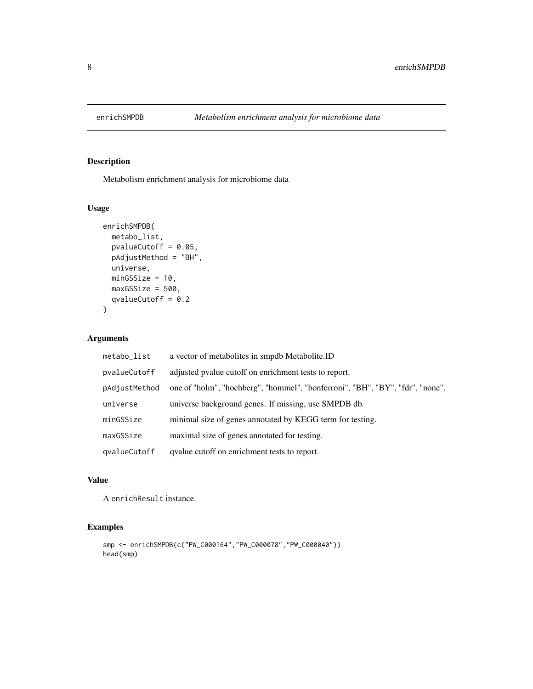<span id="page-7-0"></span>

Metabolism enrichment analysis for microbiome data

#### Usage

```
enrichSMPDB(
 metabo_list,
 pvalueCutoff = 0.05,
 pAdjustMethod = "BH",
 universe,
 minGSSize = 10,
 maxGSSize = 500,
 qvalueCutoff = 0.2)
```
#### Arguments

| metabo_list   | a vector of metabolites in smpdb Metabolite.ID                                |
|---------------|-------------------------------------------------------------------------------|
| pvalueCutoff  | adjusted pvalue cutoff on enrichment tests to report.                         |
| pAdjustMethod | one of "holm", "hochberg", "hommel", "bonferroni", "BH", "BY", "fdr", "none". |
| universe      | universe background genes. If missing, use SMPDB db.                          |
| minGSSize     | minimal size of genes annotated by KEGG term for testing.                     |
| maxGSSize     | maximal size of genes annotated for testing.                                  |
| qvalueCutoff  | qvalue cutoff on enrichment tests to report.                                  |

#### Value

A enrichResult instance.

```
smp <- enrichSMPDB(c("PW_C000164","PW_C000078","PW_C000040"))
head(smp)
```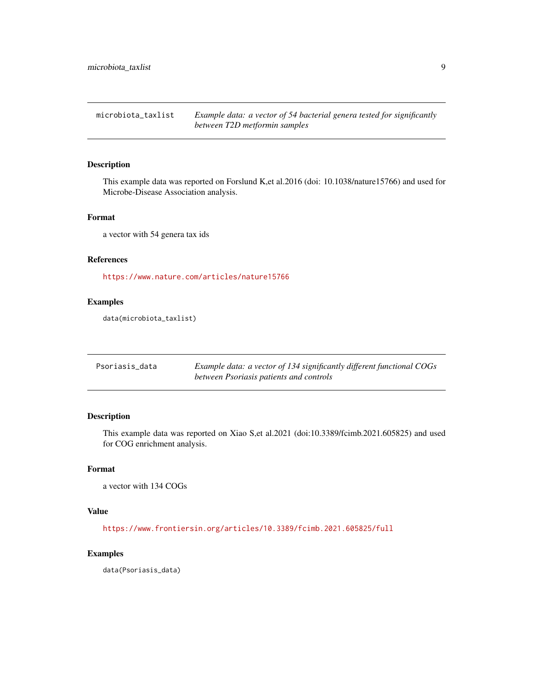<span id="page-8-0"></span>microbiota\_taxlist *Example data: a vector of 54 bacterial genera tested for significantly between T2D metformin samples*

#### Description

This example data was reported on Forslund K,et al.2016 (doi: 10.1038/nature15766) and used for Microbe-Disease Association analysis.

#### Format

a vector with 54 genera tax ids

#### References

<https://www.nature.com/articles/nature15766>

#### Examples

data(microbiota\_taxlist)

| Psoriasis data | Example data: a vector of 134 significantly different functional COGs |
|----------------|-----------------------------------------------------------------------|
|                | between Psoriasis patients and controls                               |

#### Description

This example data was reported on Xiao S,et al.2021 (doi:10.3389/fcimb.2021.605825) and used for COG enrichment analysis.

#### Format

```
a vector with 134 COGs
```
#### Value

<https://www.frontiersin.org/articles/10.3389/fcimb.2021.605825/full>

#### Examples

data(Psoriasis\_data)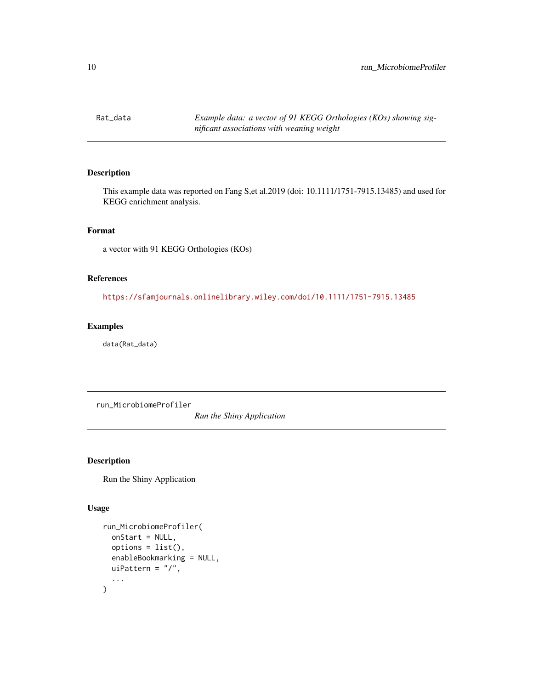<span id="page-9-0"></span>Rat\_data *Example data: a vector of 91 KEGG Orthologies (KOs) showing significant associations with weaning weight*

#### Description

This example data was reported on Fang S,et al.2019 (doi: 10.1111/1751-7915.13485) and used for KEGG enrichment analysis.

#### Format

a vector with 91 KEGG Orthologies (KOs)

#### References

<https://sfamjournals.onlinelibrary.wiley.com/doi/10.1111/1751-7915.13485>

#### Examples

data(Rat\_data)

run\_MicrobiomeProfiler

*Run the Shiny Application*

#### Description

Run the Shiny Application

#### Usage

```
run_MicrobiomeProfiler(
  onStart = NULL,
  options = list(),
  enableBookmarking = NULL,
  uiPattern = "/",
  ...
\mathcal{E}
```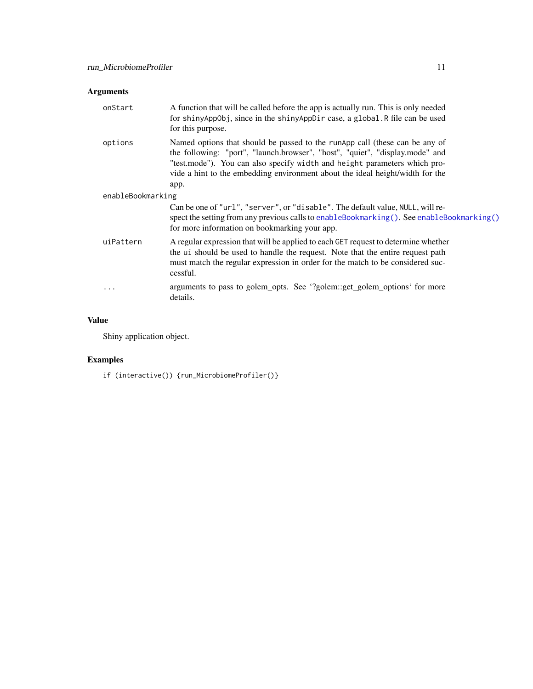#### <span id="page-10-0"></span>Arguments

| onStart           | A function that will be called before the app is actually run. This is only needed<br>for shinyAppObj, since in the shinyAppDir case, a global. R file can be used<br>for this purpose.                                                                                                                                           |
|-------------------|-----------------------------------------------------------------------------------------------------------------------------------------------------------------------------------------------------------------------------------------------------------------------------------------------------------------------------------|
| options           | Named options that should be passed to the runApp call (these can be any of<br>the following: "port", "launch.browser", "host", "quiet", "display.mode" and<br>"test.mode"). You can also specify width and height parameters which pro-<br>vide a hint to the embedding environment about the ideal height/width for the<br>app. |
| enableBookmarking |                                                                                                                                                                                                                                                                                                                                   |
|                   | Can be one of "url", "server", or "disable". The default value, NULL, will re-<br>spect the setting from any previous calls to enableBookmarking(). See enableBookmarking()<br>for more information on bookmarking your app.                                                                                                      |
| uiPattern         | A regular expression that will be applied to each GET request to determine whether<br>the ui should be used to handle the request. Note that the entire request path<br>must match the regular expression in order for the match to be considered suc-<br>cessful.                                                                |
| .                 | arguments to pass to golem_opts. See '?golem::get_golem_options' for more<br>details.                                                                                                                                                                                                                                             |

#### Value

Shiny application object.

#### Examples

if (interactive()) {run\_MicrobiomeProfiler()}